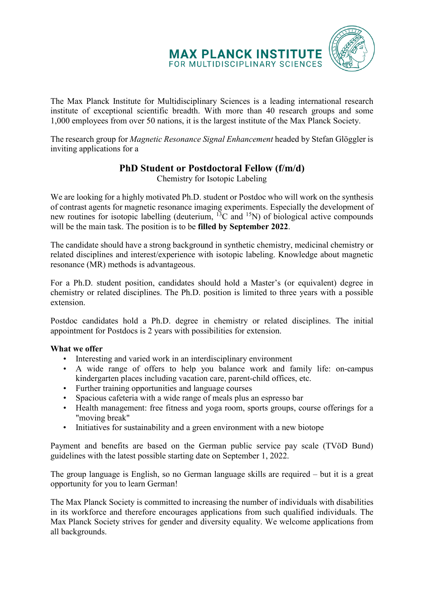

The Max Planck Institute for Multidisciplinary Sciences is a leading international research institute of exceptional scientific breadth. With more than 40 research groups and some 1,000 employees from over 50 nations, it is the largest institute of the Max Planck Society.

The research group for *Magnetic Resonance Signal Enhancement* headed by Stefan Glöggler is inviting applications for a

## **PhD Student or Postdoctoral Fellow (f/m/d)**

Chemistry for Isotopic Labeling

We are looking for a highly motivated Ph.D. student or Postdoc who will work on the synthesis of contrast agents for magnetic resonance imaging experiments. Especially the development of new routines for isotopic labelling (deuterium, <sup>13</sup>C and <sup>15</sup>N) of biological active compounds will be the main task. The position is to be **filled by September 2022**.

The candidate should have a strong background in synthetic chemistry, medicinal chemistry or related disciplines and interest/experience with isotopic labeling. Knowledge about magnetic resonance (MR) methods is advantageous.

For a Ph.D. student position, candidates should hold a Master's (or equivalent) degree in chemistry or related disciplines. The Ph.D. position is limited to three years with a possible extension.

Postdoc candidates hold a Ph.D. degree in chemistry or related disciplines. The initial appointment for Postdocs is 2 years with possibilities for extension.

## **What we offer**

- Interesting and varied work in an interdisciplinary environment
- A wide range of offers to help you balance work and family life: on-campus kindergarten places including vacation care, parent-child offices, etc.
- Further training opportunities and language courses
- Spacious cafeteria with a wide range of meals plus an espresso bar
- Health management: free fitness and yoga room, sports groups, course offerings for a "moving break"
- Initiatives for sustainability and a green environment with a new biotope

Payment and benefits are based on the German public service pay scale (TVöD Bund) guidelines with the latest possible starting date on September 1, 2022.

The group language is English, so no German language skills are required – but it is a great opportunity for you to learn German!

The Max Planck Society is committed to increasing the number of individuals with disabilities in its workforce and therefore encourages applications from such qualified individuals. The Max Planck Society strives for gender and diversity equality. We welcome applications from all backgrounds.